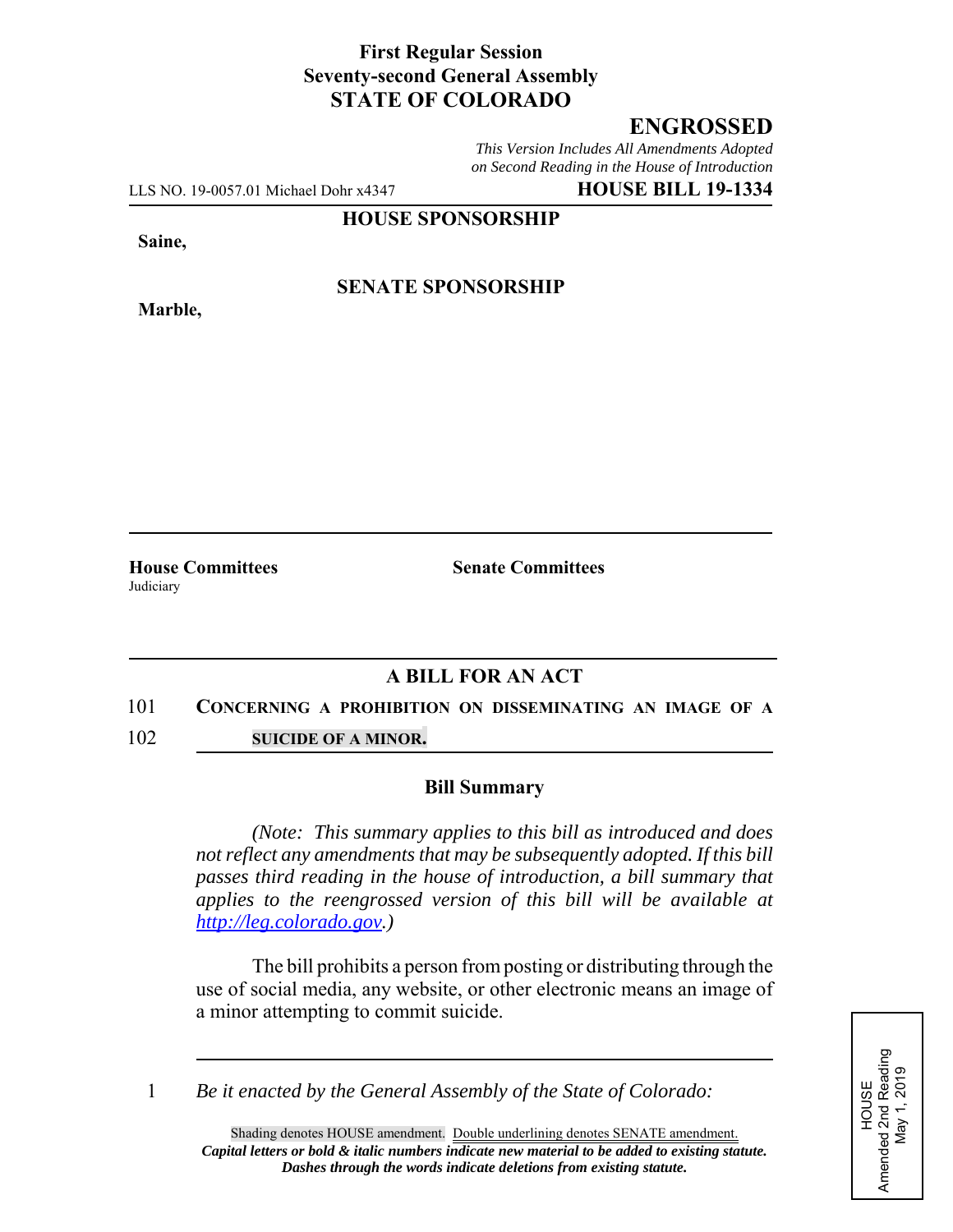## **First Regular Session Seventy-second General Assembly STATE OF COLORADO**

# **ENGROSSED**

*This Version Includes All Amendments Adopted on Second Reading in the House of Introduction*

LLS NO. 19-0057.01 Michael Dohr x4347 **HOUSE BILL 19-1334**

**HOUSE SPONSORSHIP**

**Saine,**

**Marble,**

### **SENATE SPONSORSHIP**

**House Committees Senate Committees Judiciary** 

## **A BILL FOR AN ACT**

#### 101 **CONCERNING A PROHIBITION ON DISSEMINATING AN IMAGE OF A**

102 **SUICIDE OF A MINOR.**

#### **Bill Summary**

*(Note: This summary applies to this bill as introduced and does not reflect any amendments that may be subsequently adopted. If this bill passes third reading in the house of introduction, a bill summary that applies to the reengrossed version of this bill will be available at http://leg.colorado.gov.)*

The bill prohibits a person from posting or distributing through the use of social media, any website, or other electronic means an image of a minor attempting to commit suicide.

1 *Be it enacted by the General Assembly of the State of Colorado:*

HOUSE<br>Amended 2nd Reading<br>May 1, 2019 Amended 2nd Reading May 1, 2019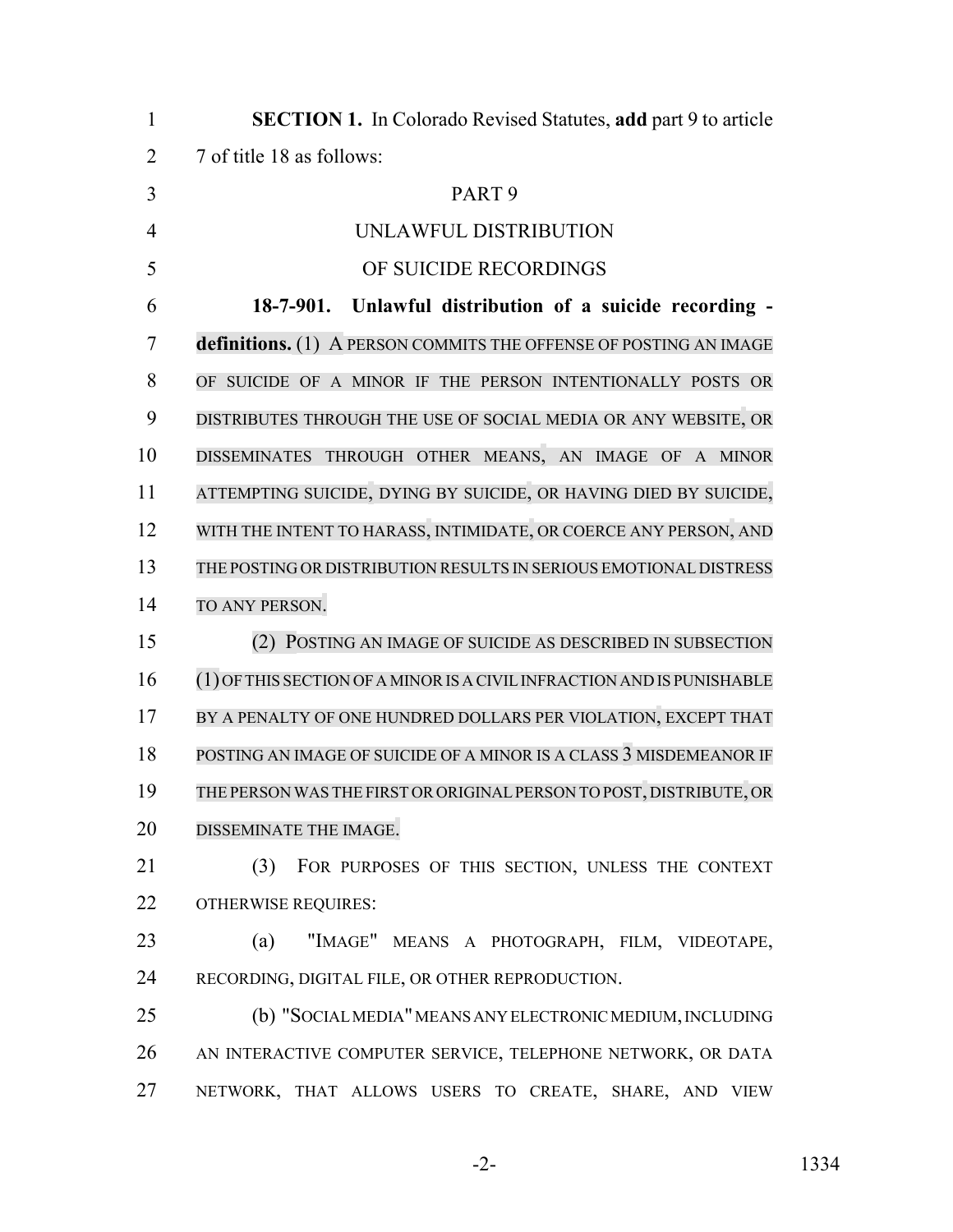| $\mathbf{1}$   | <b>SECTION 1.</b> In Colorado Revised Statutes, add part 9 to article  |
|----------------|------------------------------------------------------------------------|
| $\overline{2}$ | 7 of title 18 as follows:                                              |
| 3              | PART <sub>9</sub>                                                      |
| $\overline{4}$ | UNLAWFUL DISTRIBUTION                                                  |
| 5              | OF SUICIDE RECORDINGS                                                  |
| 6              | 18-7-901. Unlawful distribution of a suicide recording -               |
| 7              | definitions. (1) A PERSON COMMITS THE OFFENSE OF POSTING AN IMAGE      |
| 8              | OF SUICIDE OF A MINOR IF THE PERSON INTENTIONALLY POSTS OR             |
| 9              | DISTRIBUTES THROUGH THE USE OF SOCIAL MEDIA OR ANY WEBSITE, OR         |
| 10             | DISSEMINATES THROUGH OTHER MEANS, AN IMAGE OF A MINOR                  |
| 11             | ATTEMPTING SUICIDE, DYING BY SUICIDE, OR HAVING DIED BY SUICIDE,       |
| 12             | WITH THE INTENT TO HARASS, INTIMIDATE, OR COERCE ANY PERSON, AND       |
| 13             | THE POSTING OR DISTRIBUTION RESULTS IN SERIOUS EMOTIONAL DISTRESS      |
| 14             | TO ANY PERSON.                                                         |
| 15             | (2) POSTING AN IMAGE OF SUICIDE AS DESCRIBED IN SUBSECTION             |
| 16             | (1) OF THIS SECTION OF A MINOR IS A CIVIL INFRACTION AND IS PUNISHABLE |
| 17             | BY A PENALTY OF ONE HUNDRED DOLLARS PER VIOLATION, EXCEPT THAT         |
| 18             | POSTING AN IMAGE OF SUICIDE OF A MINOR IS A CLASS 3 MISDEMEANOR IF     |
| 19             | THE PERSON WAS THE FIRST OR ORIGINAL PERSON TO POST, DISTRIBUTE, OR    |
| 20             | DISSEMINATE THE IMAGE.                                                 |
| 21             | (3)<br>FOR PURPOSES OF THIS SECTION, UNLESS THE CONTEXT                |
| 22             | <b>OTHERWISE REQUIRES:</b>                                             |
| 23             | "IMAGE" MEANS A PHOTOGRAPH, FILM, VIDEOTAPE,<br>(a)                    |
| 24             | RECORDING, DIGITAL FILE, OR OTHER REPRODUCTION.                        |
| 25             | (b) "SOCIAL MEDIA" MEANS ANY ELECTRONIC MEDIUM, INCLUDING              |
| 26             | AN INTERACTIVE COMPUTER SERVICE, TELEPHONE NETWORK, OR DATA            |
| 27             | NETWORK, THAT ALLOWS USERS TO CREATE, SHARE, AND VIEW                  |
|                |                                                                        |

-2- 1334